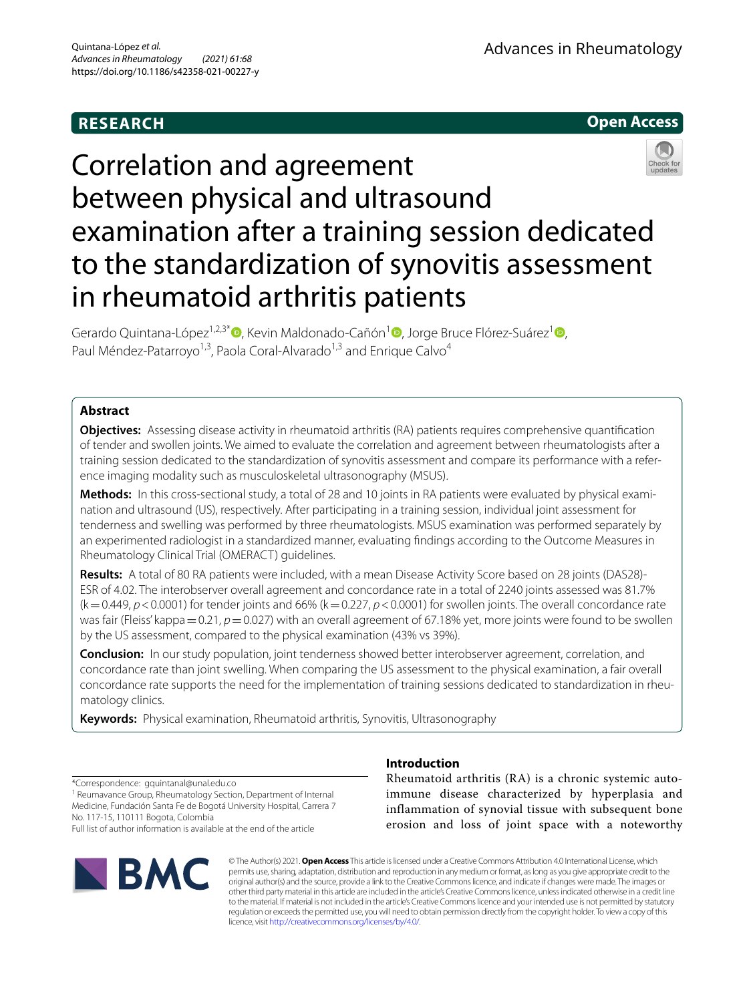# **RESEARCH**



# Correlation and agreement between physical and ultrasound examination after a training session dedicated to the standardization of synovitis assessment in rheumatoid arthritis patients

Gerardo Quintana-López<sup>1,2,3\*</sup> [,](http://orcid.org/0000-0001-8279-4593) Kevin Maldonado-Cañón<sup>1</sup> , Jorge Bruce Flórez-Suárez<sup>1</sup> , Paul Méndez-Patarroyo<sup>1,3</sup>, Paola Coral-Alvarado<sup>1,3</sup> and Enrique Calvo<sup>4</sup>

# **Abstract**

**Objectives:** Assessing disease activity in rheumatoid arthritis (RA) patients requires comprehensive quantifcation of tender and swollen joints. We aimed to evaluate the correlation and agreement between rheumatologists after a training session dedicated to the standardization of synovitis assessment and compare its performance with a reference imaging modality such as musculoskeletal ultrasonography (MSUS).

**Methods:** In this cross-sectional study, a total of 28 and 10 joints in RA patients were evaluated by physical examination and ultrasound (US), respectively. After participating in a training session, individual joint assessment for tenderness and swelling was performed by three rheumatologists. MSUS examination was performed separately by an experimented radiologist in a standardized manner, evaluating fndings according to the Outcome Measures in Rheumatology Clinical Trial (OMERACT) guidelines.

**Results:** A total of 80 RA patients were included, with a mean Disease Activity Score based on 28 joints (DAS28)-ESR of 4.02. The interobserver overall agreement and concordance rate in a total of 2240 joints assessed was 81.7%  $(k=0.449, p<0.0001)$  for tender joints and 66%  $(k=0.227, p<0.0001)$  for swollen joints. The overall concordance rate was fair (Fleiss' kappa = 0.21, *p* = 0.027) with an overall agreement of 67.18% yet, more joints were found to be swollen by the US assessment, compared to the physical examination (43% vs 39%).

**Conclusion:** In our study population, joint tenderness showed better interobserver agreement, correlation, and concordance rate than joint swelling. When comparing the US assessment to the physical examination, a fair overall concordance rate supports the need for the implementation of training sessions dedicated to standardization in rheumatology clinics.

**Keywords:** Physical examination, Rheumatoid arthritis, Synovitis, Ultrasonography

\*Correspondence: gquintanal@unal.edu.co

<sup>1</sup> Reumavance Group, Rheumatology Section, Department of Internal Medicine, Fundación Santa Fe de Bogotá University Hospital, Carrera 7 No. 117‑15, 110111 Bogota, Colombia

Full list of author information is available at the end of the article



# **Introduction**

Rheumatoid arthritis (RA) is a chronic systemic autoimmune disease characterized by hyperplasia and inflammation of synovial tissue with subsequent bone erosion and loss of joint space with a noteworthy

© The Author(s) 2021. **Open Access** This article is licensed under a Creative Commons Attribution 4.0 International License, which permits use, sharing, adaptation, distribution and reproduction in any medium or format, as long as you give appropriate credit to the original author(s) and the source, provide a link to the Creative Commons licence, and indicate if changes were made. The images or other third party material in this article are included in the article's Creative Commons licence, unless indicated otherwise in a credit line to the material. If material is not included in the article's Creative Commons licence and your intended use is not permitted by statutory regulation or exceeds the permitted use, you will need to obtain permission directly from the copyright holder. To view a copy of this licence, visit [http://creativecommons.org/licenses/by/4.0/.](http://creativecommons.org/licenses/by/4.0/)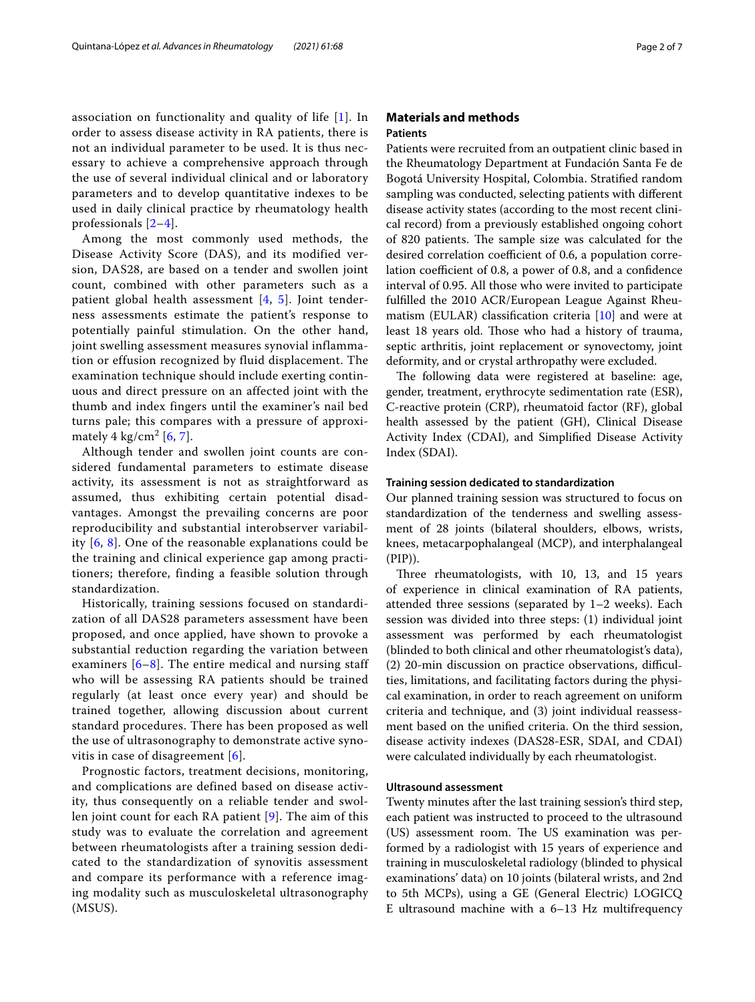association on functionality and quality of life [[1\]](#page-5-0). In order to assess disease activity in RA patients, there is not an individual parameter to be used. It is thus necessary to achieve a comprehensive approach through the use of several individual clinical and or laboratory parameters and to develop quantitative indexes to be used in daily clinical practice by rheumatology health professionals [\[2](#page-5-1)–[4\]](#page-5-2).

Among the most commonly used methods, the Disease Activity Score (DAS), and its modified version, DAS28, are based on a tender and swollen joint count, combined with other parameters such as a patient global health assessment [[4,](#page-5-2) [5\]](#page-5-3). Joint tenderness assessments estimate the patient's response to potentially painful stimulation. On the other hand, joint swelling assessment measures synovial inflammation or effusion recognized by fluid displacement. The examination technique should include exerting continuous and direct pressure on an affected joint with the thumb and index fingers until the examiner's nail bed turns pale; this compares with a pressure of approximately  $4 \text{ kg/cm}^2$  [[6,](#page-5-4) [7\]](#page-5-5).

Although tender and swollen joint counts are considered fundamental parameters to estimate disease activity, its assessment is not as straightforward as assumed, thus exhibiting certain potential disadvantages. Amongst the prevailing concerns are poor reproducibility and substantial interobserver variability [[6](#page-5-4), [8\]](#page-5-6). One of the reasonable explanations could be the training and clinical experience gap among practitioners; therefore, finding a feasible solution through standardization.

Historically, training sessions focused on standardization of all DAS28 parameters assessment have been proposed, and once applied, have shown to provoke a substantial reduction regarding the variation between examiners  $[6-8]$  $[6-8]$  $[6-8]$ . The entire medical and nursing staff who will be assessing RA patients should be trained regularly (at least once every year) and should be trained together, allowing discussion about current standard procedures. There has been proposed as well the use of ultrasonography to demonstrate active synovitis in case of disagreement [[6](#page-5-4)].

Prognostic factors, treatment decisions, monitoring, and complications are defined based on disease activity, thus consequently on a reliable tender and swollen joint count for each RA patient [[9](#page-5-7)]. The aim of this study was to evaluate the correlation and agreement between rheumatologists after a training session dedicated to the standardization of synovitis assessment and compare its performance with a reference imaging modality such as musculoskeletal ultrasonography (MSUS).

# **Materials and methods Patients**

Patients were recruited from an outpatient clinic based in the Rheumatology Department at Fundación Santa Fe de Bogotá University Hospital, Colombia. Stratifed random sampling was conducted, selecting patients with diferent disease activity states (according to the most recent clinical record) from a previously established ongoing cohort of 820 patients. The sample size was calculated for the desired correlation coefficient of 0.6, a population correlation coefficient of 0.8, a power of 0.8, and a confidence interval of 0.95. All those who were invited to participate fulflled the 2010 ACR/European League Against Rheumatism (EULAR) classification criteria  $[10]$  $[10]$  and were at least 18 years old. Those who had a history of trauma, septic arthritis, joint replacement or synovectomy, joint deformity, and or crystal arthropathy were excluded.

The following data were registered at baseline: age, gender, treatment, erythrocyte sedimentation rate (ESR), C-reactive protein (CRP), rheumatoid factor (RF), global health assessed by the patient (GH), Clinical Disease Activity Index (CDAI), and Simplifed Disease Activity Index (SDAI).

# **Training session dedicated to standardization**

Our planned training session was structured to focus on standardization of the tenderness and swelling assessment of 28 joints (bilateral shoulders, elbows, wrists, knees, metacarpophalangeal (MCP), and interphalangeal (PIP)).

Three rheumatologists, with 10, 13, and 15 years of experience in clinical examination of RA patients, attended three sessions (separated by 1–2 weeks). Each session was divided into three steps: (1) individual joint assessment was performed by each rheumatologist (blinded to both clinical and other rheumatologist's data),  $(2)$  20-min discussion on practice observations, difficulties, limitations, and facilitating factors during the physical examination, in order to reach agreement on uniform criteria and technique, and (3) joint individual reassessment based on the unifed criteria. On the third session, disease activity indexes (DAS28-ESR, SDAI, and CDAI) were calculated individually by each rheumatologist.

#### **Ultrasound assessment**

Twenty minutes after the last training session's third step, each patient was instructed to proceed to the ultrasound (US) assessment room. The US examination was performed by a radiologist with 15 years of experience and training in musculoskeletal radiology (blinded to physical examinations' data) on 10 joints (bilateral wrists, and 2nd to 5th MCPs), using a GE (General Electric) LOGICQ E ultrasound machine with a 6–13 Hz multifrequency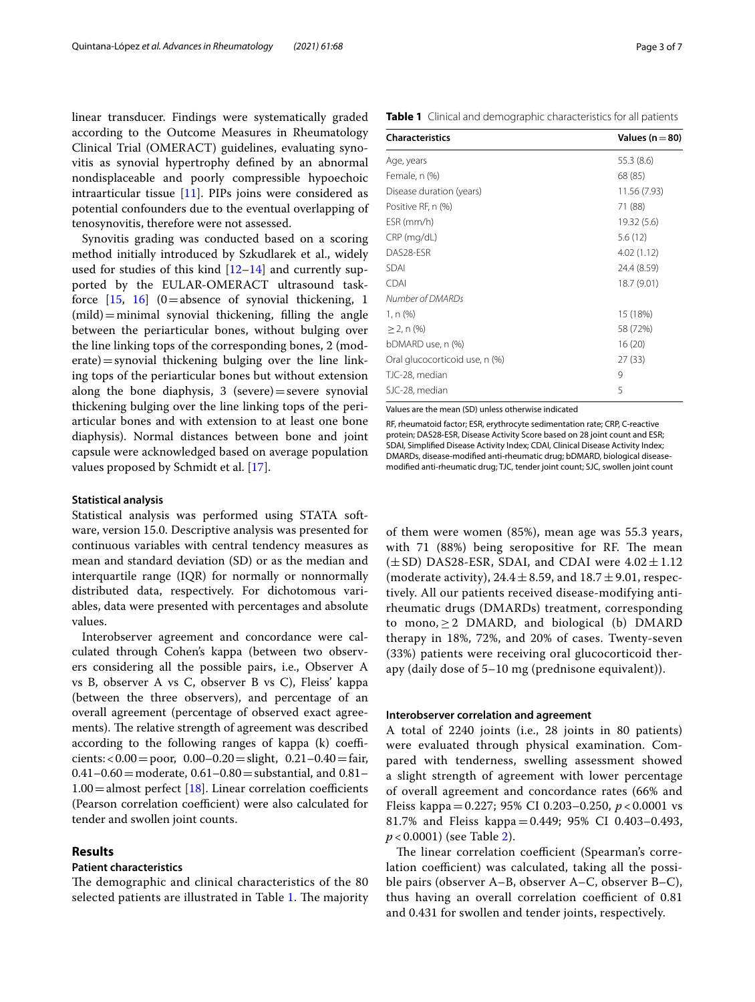linear transducer. Findings were systematically graded according to the Outcome Measures in Rheumatology Clinical Trial (OMERACT) guidelines, evaluating synovitis as synovial hypertrophy defned by an abnormal nondisplaceable and poorly compressible hypoechoic intraarticular tissue [\[11](#page-5-9)]. PIPs joins were considered as potential confounders due to the eventual overlapping of tenosynovitis, therefore were not assessed.

Synovitis grading was conducted based on a scoring method initially introduced by Szkudlarek et al., widely used for studies of this kind [\[12–](#page-5-10)[14\]](#page-5-11) and currently supported by the EULAR-OMERACT ultrasound taskforce  $[15, 16]$  $[15, 16]$  $[15, 16]$  $[15, 16]$   $(0=$  absence of synovial thickening, 1  $(mild)$  = minimal synovial thickening, filling the angle between the periarticular bones, without bulging over the line linking tops of the corresponding bones, 2 (mod $erate)$  = synovial thickening bulging over the line linking tops of the periarticular bones but without extension along the bone diaphysis,  $3$  (severe) = severe synovial thickening bulging over the line linking tops of the periarticular bones and with extension to at least one bone diaphysis). Normal distances between bone and joint capsule were acknowledged based on average population values proposed by Schmidt et al. [\[17](#page-6-1)].

#### **Statistical analysis**

Statistical analysis was performed using STATA software, version 15.0. Descriptive analysis was presented for continuous variables with central tendency measures as mean and standard deviation (SD) or as the median and interquartile range (IQR) for normally or nonnormally distributed data, respectively. For dichotomous variables, data were presented with percentages and absolute values.

Interobserver agreement and concordance were calculated through Cohen's kappa (between two observers considering all the possible pairs, i.e., Observer A vs B, observer A vs C, observer B vs C), Fleiss' kappa (between the three observers), and percentage of an overall agreement (percentage of observed exact agreements). The relative strength of agreement was described according to the following ranges of kappa  $(k)$  coefficients: <  $0.00 =$  poor,  $0.00 - 0.20 =$  slight,  $0.21 - 0.40 =$  fair,  $0.41-0.60$  = moderate,  $0.61-0.80$  = substantial, and  $0.81 1.00 =$ almost perfect [\[18\]](#page-6-2). Linear correlation coefficients (Pearson correlation coefficient) were also calculated for tender and swollen joint counts.

# **Results**

#### **Patient characteristics**

The demographic and clinical characteristics of the 80 selected patients are illustrated in Table [1.](#page-2-0) The majority

<span id="page-2-0"></span>

| Table 1 Clinical and demographic characteristics for all patients |  |
|-------------------------------------------------------------------|--|
|-------------------------------------------------------------------|--|

| <b>Characteristics</b>         | Values ( $n = 80$ ) |  |  |
|--------------------------------|---------------------|--|--|
| Age, years                     | 55.3 (8.6)          |  |  |
| Female, n (%)                  | 68 (85)             |  |  |
| Disease duration (years)       | 11.56 (7.93)        |  |  |
| Positive RF, n (%)             | 71 (88)             |  |  |
| ESR (mm/h)                     | 19.32 (5.6)         |  |  |
| CRP (mg/dL)                    | 5.6(12)             |  |  |
| DAS28-ESR                      | 4.02(1.12)          |  |  |
| <b>SDAI</b>                    | 24.4 (8.59)         |  |  |
| <b>CDAI</b>                    | 18.7 (9.01)         |  |  |
| Number of DMARDs               |                     |  |  |
| 1, n (%)                       | 15 (18%)            |  |  |
| $\geq$ 2, n (%)                | 58 (72%)            |  |  |
| bDMARD use, n (%)              | 16(20)              |  |  |
| Oral glucocorticoid use, n (%) | 27(33)              |  |  |
| TJC-28, median                 | 9                   |  |  |
| SJC-28, median                 | 5                   |  |  |

Values are the mean (SD) unless otherwise indicated

RF, rheumatoid factor; ESR, erythrocyte sedimentation rate; CRP, C-reactive protein; DAS28-ESR, Disease Activity Score based on 28 joint count and ESR; SDAI, Simplifed Disease Activity Index; CDAI, Clinical Disease Activity Index; DMARDs, disease-modifed anti-rheumatic drug; bDMARD, biological diseasemodifed anti-rheumatic drug; TJC, tender joint count; SJC, swollen joint count

of them were women (85%), mean age was 55.3 years, with  $71$   $(88%)$  being seropositive for RF. The mean  $(\pm SD)$  DAS28-ESR, SDAI, and CDAI were  $4.02 \pm 1.12$ (moderate activity),  $24.4 \pm 8.59$ , and  $18.7 \pm 9.01$ , respectively. All our patients received disease-modifying antirheumatic drugs (DMARDs) treatment, corresponding to mono,  $\geq$  2 DMARD, and biological (b) DMARD therapy in 18%, 72%, and 20% of cases. Twenty-seven (33%) patients were receiving oral glucocorticoid therapy (daily dose of 5–10 mg (prednisone equivalent)).

## **Interobserver correlation and agreement**

A total of 2240 joints (i.e., 28 joints in 80 patients) were evaluated through physical examination. Compared with tenderness, swelling assessment showed a slight strength of agreement with lower percentage of overall agreement and concordance rates (66% and Fleiss kappa=0.227; 95% CI 0.203–0.250, *p* < 0.0001 vs 81.7% and Fleiss kappa=0.449; 95% CI 0.403–0.493, *p* < 0.0001) (see Table [2](#page-3-0)).

The linear correlation coefficient (Spearman's correlation coefficient) was calculated, taking all the possible pairs (observer A–B, observer A–C, observer B–C), thus having an overall correlation coefficient of 0.81 and 0.431 for swollen and tender joints, respectively.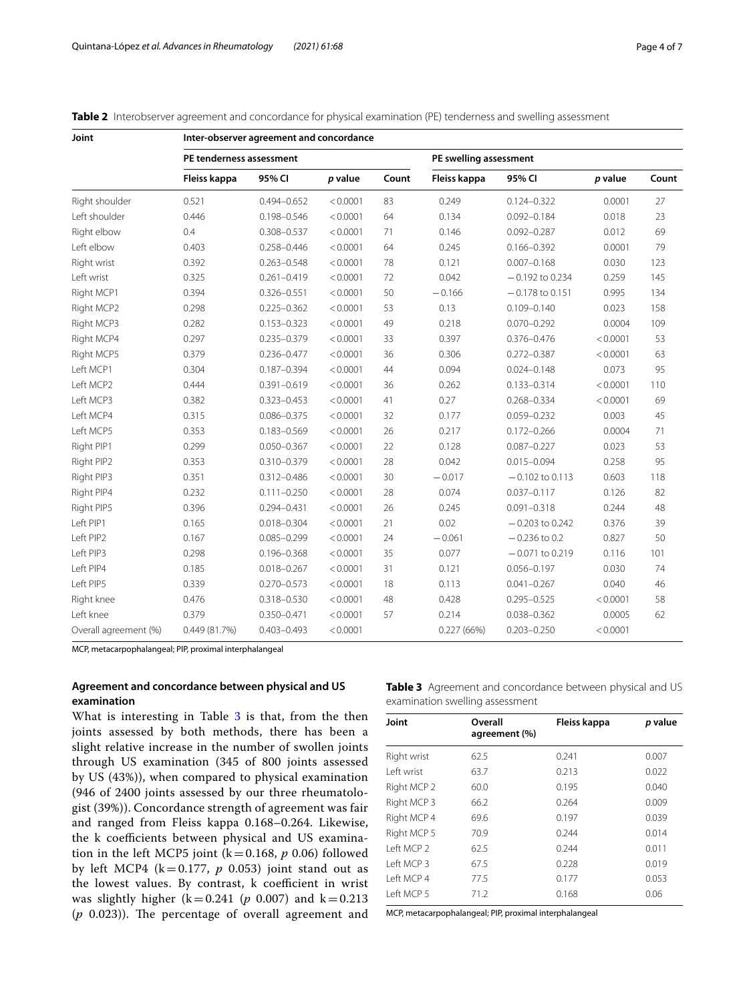<span id="page-3-0"></span>

| Table 2 Interobserver agreement and concordance for physical examination (PE) tenderness and swelling assessment |  |  |
|------------------------------------------------------------------------------------------------------------------|--|--|
|------------------------------------------------------------------------------------------------------------------|--|--|

| Joint                 | Inter-observer agreement and concordance |                 |          |       |                        |                   |          |       |
|-----------------------|------------------------------------------|-----------------|----------|-------|------------------------|-------------------|----------|-------|
|                       | PE tenderness assessment                 |                 |          |       | PE swelling assessment |                   |          |       |
|                       | Fleiss kappa                             | 95% CI          | p value  | Count | Fleiss kappa           | 95% CI            | p value  | Count |
| Right shoulder        | 0.521                                    | $0.494 - 0.652$ | < 0.0001 | 83    | 0.249                  | $0.124 - 0.322$   | 0.0001   | 27    |
| Left shoulder         | 0.446                                    | 0.198-0.546     | < 0.0001 | 64    | 0.134                  | $0.092 - 0.184$   | 0.018    | 23    |
| Right elbow           | 0.4                                      | 0.308-0.537     | < 0.0001 | 71    | 0.146                  | $0.092 - 0.287$   | 0.012    | 69    |
| Left elbow            | 0.403                                    | $0.258 - 0.446$ | < 0.0001 | 64    | 0.245                  | $0.166 - 0.392$   | 0.0001   | 79    |
| Right wrist           | 0.392                                    | $0.263 - 0.548$ | < 0.0001 | 78    | 0.121                  | $0.007 - 0.168$   | 0.030    | 123   |
| Left wrist            | 0.325                                    | $0.261 - 0.419$ | < 0.0001 | 72    | 0.042                  | $-0.192$ to 0.234 | 0.259    | 145   |
| Right MCP1            | 0.394                                    | $0.326 - 0.551$ | < 0.0001 | 50    | $-0.166$               | $-0.178$ to 0.151 | 0.995    | 134   |
| Right MCP2            | 0.298                                    | $0.225 - 0.362$ | < 0.0001 | 53    | 0.13                   | $0.109 - 0.140$   | 0.023    | 158   |
| Right MCP3            | 0.282                                    | $0.153 - 0.323$ | < 0.0001 | 49    | 0.218                  | $0.070 - 0.292$   | 0.0004   | 109   |
| Right MCP4            | 0.297                                    | $0.235 - 0.379$ | < 0.0001 | 33    | 0.397                  | $0.376 - 0.476$   | < 0.0001 | 53    |
| Right MCP5            | 0.379                                    | $0.236 - 0.477$ | < 0.0001 | 36    | 0.306                  | $0.272 - 0.387$   | < 0.0001 | 63    |
| Left MCP1             | 0.304                                    | $0.187 - 0.394$ | < 0.0001 | 44    | 0.094                  | $0.024 - 0.148$   | 0.073    | 95    |
| Left MCP2             | 0.444                                    | $0.391 - 0.619$ | < 0.0001 | 36    | 0.262                  | $0.133 - 0.314$   | < 0.0001 | 110   |
| Left MCP3             | 0.382                                    | $0.323 - 0.453$ | < 0.0001 | 41    | 0.27                   | $0.268 - 0.334$   | < 0.0001 | 69    |
| Left MCP4             | 0.315                                    | $0.086 - 0.375$ | < 0.0001 | 32    | 0.177                  | $0.059 - 0.232$   | 0.003    | 45    |
| Left MCP5             | 0.353                                    | $0.183 - 0.569$ | < 0.0001 | 26    | 0.217                  | $0.172 - 0.266$   | 0.0004   | 71    |
| Right PIP1            | 0.299                                    | $0.050 - 0.367$ | < 0.0001 | 22    | 0.128                  | $0.087 - 0.227$   | 0.023    | 53    |
| Right PIP2            | 0.353                                    | $0.310 - 0.379$ | < 0.0001 | 28    | 0.042                  | $0.015 - 0.094$   | 0.258    | 95    |
| Right PIP3            | 0.351                                    | 0.312-0.486     | < 0.0001 | 30    | $-0.017$               | $-0.102$ to 0.113 | 0.603    | 118   |
| Right PIP4            | 0.232                                    | $0.111 - 0.250$ | < 0.0001 | 28    | 0.074                  | $0.037 - 0.117$   | 0.126    | 82    |
| Right PIP5            | 0.396                                    | $0.294 - 0.431$ | < 0.0001 | 26    | 0.245                  | $0.091 - 0.318$   | 0.244    | 48    |
| Left PIP1             | 0.165                                    | $0.018 - 0.304$ | < 0.0001 | 21    | 0.02                   | $-0.203$ to 0.242 | 0.376    | 39    |
| Left PIP2             | 0.167                                    | $0.085 - 0.299$ | < 0.0001 | 24    | $-0.061$               | $-0.236$ to 0.2   | 0.827    | 50    |
| Left PIP3             | 0.298                                    | $0.196 - 0.368$ | < 0.0001 | 35    | 0.077                  | $-0.071$ to 0.219 | 0.116    | 101   |
| Left PIP4             | 0.185                                    | $0.018 - 0.267$ | < 0.0001 | 31    | 0.121                  | $0.056 - 0.197$   | 0.030    | 74    |
| Left PIP5             | 0.339                                    | $0.270 - 0.573$ | < 0.0001 | 18    | 0.113                  | $0.041 - 0.267$   | 0.040    | 46    |
| Right knee            | 0.476                                    | 0.318-0.530     | < 0.0001 | 48    | 0.428                  | $0.295 - 0.525$   | < 0.0001 | 58    |
| Left knee             | 0.379                                    | 0.350-0.471     | < 0.0001 | 57    | 0.214                  | $0.038 - 0.362$   | 0.0005   | 62    |
| Overall agreement (%) | 0.449(81.7%)                             | $0.403 - 0.493$ | < 0.0001 |       | 0.227(66%)             | $0.203 - 0.250$   | < 0.0001 |       |

MCP, metacarpophalangeal; PIP, proximal interphalangeal

# **Agreement and concordance between physical and US examination**

What is interesting in Table [3](#page-3-1) is that, from the then joints assessed by both methods, there has been a slight relative increase in the number of swollen joints through US examination (345 of 800 joints assessed by US (43%)), when compared to physical examination (946 of 2400 joints assessed by our three rheumatologist (39%)). Concordance strength of agreement was fair and ranged from Fleiss kappa 0.168–0.264. Likewise, the k coefficients between physical and US examination in the left MCP5 joint ( $k=0.168$ ,  $p$  0.06) followed by left MCP4 ( $k=0.177$ ,  $p$  0.053) joint stand out as the lowest values. By contrast, k coefficient in wrist was slightly higher  $(k=0.241$  ( $p \ 0.007$ ) and  $k=0.213$  $(p \ 0.023)$ ). The percentage of overall agreement and <span id="page-3-1"></span>**Table 3** Agreement and concordance between physical and US examination swelling assessment

| Joint                 | Overall<br>agreement (%) | Fleiss kappa | p value |
|-----------------------|--------------------------|--------------|---------|
| Right wrist           | 62.5                     | 0.241        | 0.007   |
| I eft wrist           | 63.7                     | 0.213        | 0.022   |
| Right MCP 2           | 60.0                     | 0.195        | 0.040   |
| Right MCP 3           | 66.2                     | 0.264        | 0.009   |
| Right MCP 4           | 69.6                     | 0.197        | 0.039   |
| Right MCP 5           | 70.9                     | 0.244        | 0.014   |
| Left MCP <sub>2</sub> | 62.5                     | 0.244        | 0.011   |
| Left MCP <sub>3</sub> | 67.5                     | 0.228        | 0.019   |
| Left MCP 4            | 77.5                     | 0.177        | 0.053   |
| Left MCP 5            | 71.2                     | 0.168        | 0.06    |

MCP, metacarpophalangeal; PIP, proximal interphalangeal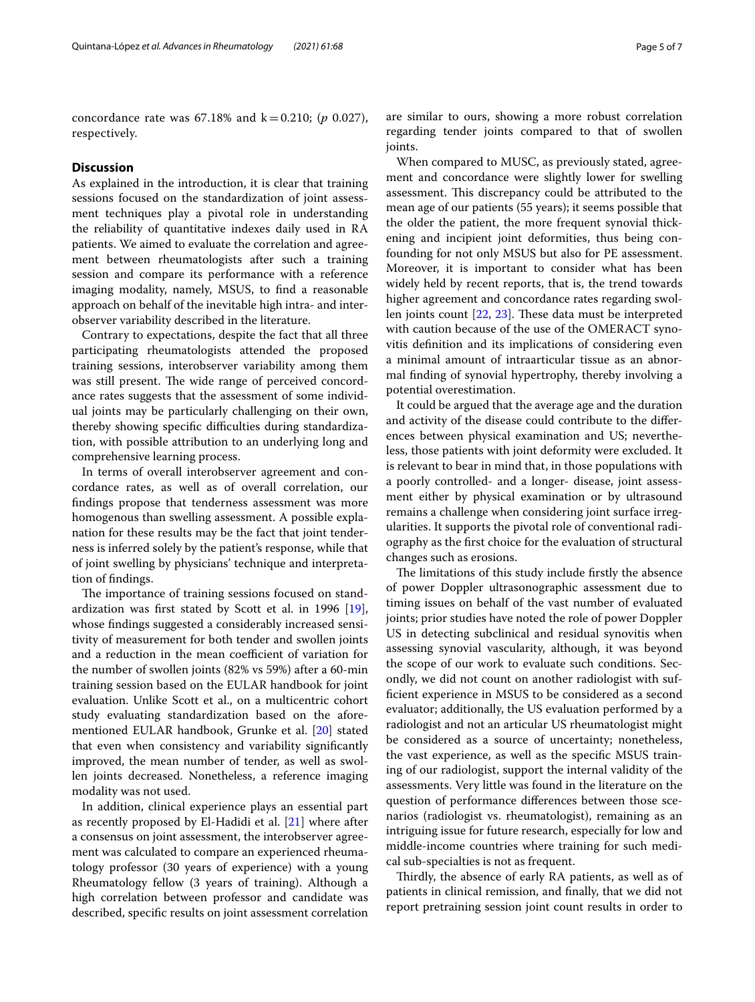concordance rate was  $67.18\%$  and  $k=0.210$ ; (*p* 0.027), respectively.

# **Discussion**

As explained in the introduction, it is clear that training sessions focused on the standardization of joint assessment techniques play a pivotal role in understanding the reliability of quantitative indexes daily used in RA patients. We aimed to evaluate the correlation and agreement between rheumatologists after such a training session and compare its performance with a reference imaging modality, namely, MSUS, to fnd a reasonable approach on behalf of the inevitable high intra- and interobserver variability described in the literature.

Contrary to expectations, despite the fact that all three participating rheumatologists attended the proposed training sessions, interobserver variability among them was still present. The wide range of perceived concordance rates suggests that the assessment of some individual joints may be particularly challenging on their own, thereby showing specific difficulties during standardization, with possible attribution to an underlying long and comprehensive learning process.

In terms of overall interobserver agreement and concordance rates, as well as of overall correlation, our fndings propose that tenderness assessment was more homogenous than swelling assessment. A possible explanation for these results may be the fact that joint tenderness is inferred solely by the patient's response, while that of joint swelling by physicians' technique and interpretation of fndings.

The importance of training sessions focused on standardization was frst stated by Scott et al. in 1996 [\[19](#page-6-3)], whose fndings suggested a considerably increased sensitivity of measurement for both tender and swollen joints and a reduction in the mean coefficient of variation for the number of swollen joints (82% vs 59%) after a 60-min training session based on the EULAR handbook for joint evaluation. Unlike Scott et al., on a multicentric cohort study evaluating standardization based on the aforementioned EULAR handbook, Grunke et al. [\[20](#page-6-4)] stated that even when consistency and variability signifcantly improved, the mean number of tender, as well as swollen joints decreased. Nonetheless, a reference imaging modality was not used.

In addition, clinical experience plays an essential part as recently proposed by El-Hadidi et al. [\[21](#page-6-5)] where after a consensus on joint assessment, the interobserver agreement was calculated to compare an experienced rheumatology professor (30 years of experience) with a young Rheumatology fellow (3 years of training). Although a high correlation between professor and candidate was described, specifc results on joint assessment correlation are similar to ours, showing a more robust correlation regarding tender joints compared to that of swollen joints.

When compared to MUSC, as previously stated, agreement and concordance were slightly lower for swelling assessment. This discrepancy could be attributed to the mean age of our patients (55 years); it seems possible that the older the patient, the more frequent synovial thickening and incipient joint deformities, thus being confounding for not only MSUS but also for PE assessment. Moreover, it is important to consider what has been widely held by recent reports, that is, the trend towards higher agreement and concordance rates regarding swollen joints count  $[22, 23]$  $[22, 23]$  $[22, 23]$  $[22, 23]$ . These data must be interpreted with caution because of the use of the OMERACT synovitis defnition and its implications of considering even a minimal amount of intraarticular tissue as an abnormal fnding of synovial hypertrophy, thereby involving a potential overestimation.

It could be argued that the average age and the duration and activity of the disease could contribute to the diferences between physical examination and US; nevertheless, those patients with joint deformity were excluded. It is relevant to bear in mind that, in those populations with a poorly controlled- and a longer- disease, joint assessment either by physical examination or by ultrasound remains a challenge when considering joint surface irregularities. It supports the pivotal role of conventional radiography as the frst choice for the evaluation of structural changes such as erosions.

The limitations of this study include firstly the absence of power Doppler ultrasonographic assessment due to timing issues on behalf of the vast number of evaluated joints; prior studies have noted the role of power Doppler US in detecting subclinical and residual synovitis when assessing synovial vascularity, although, it was beyond the scope of our work to evaluate such conditions. Secondly, we did not count on another radiologist with suffcient experience in MSUS to be considered as a second evaluator; additionally, the US evaluation performed by a radiologist and not an articular US rheumatologist might be considered as a source of uncertainty; nonetheless, the vast experience, as well as the specifc MSUS training of our radiologist, support the internal validity of the assessments. Very little was found in the literature on the question of performance diferences between those scenarios (radiologist vs. rheumatologist), remaining as an intriguing issue for future research, especially for low and middle-income countries where training for such medical sub-specialties is not as frequent.

Thirdly, the absence of early RA patients, as well as of patients in clinical remission, and fnally, that we did not report pretraining session joint count results in order to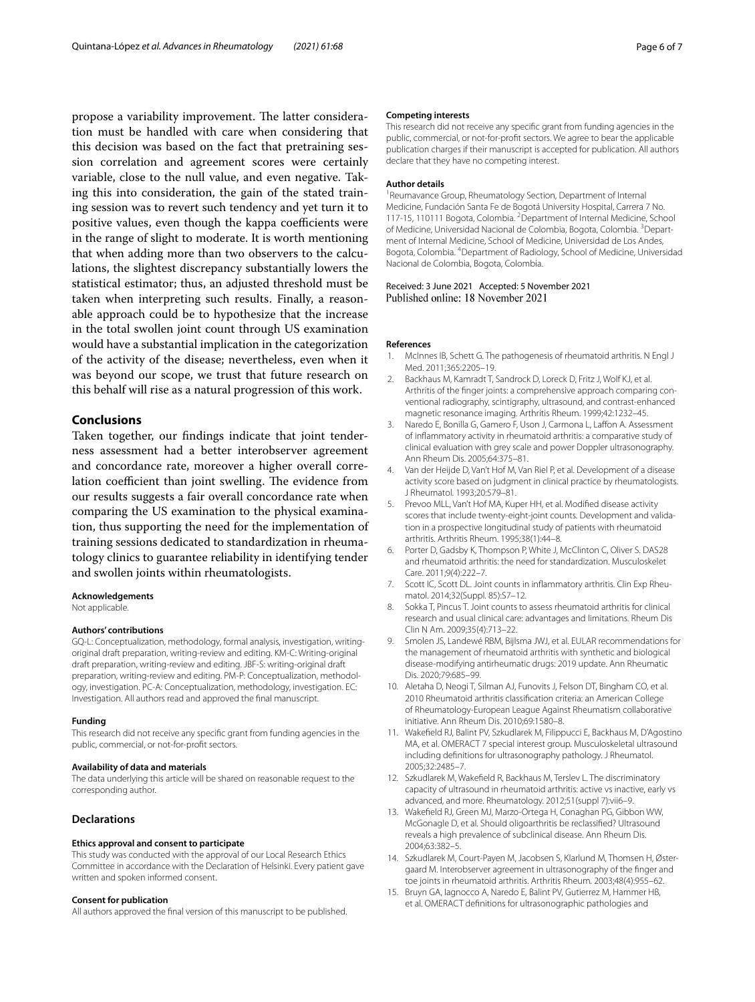propose a variability improvement. The latter consideration must be handled with care when considering that this decision was based on the fact that pretraining session correlation and agreement scores were certainly variable, close to the null value, and even negative. Taking this into consideration, the gain of the stated training session was to revert such tendency and yet turn it to positive values, even though the kappa coefficients were in the range of slight to moderate. It is worth mentioning that when adding more than two observers to the calculations, the slightest discrepancy substantially lowers the statistical estimator; thus, an adjusted threshold must be taken when interpreting such results. Finally, a reasonable approach could be to hypothesize that the increase in the total swollen joint count through US examination would have a substantial implication in the categorization of the activity of the disease; nevertheless, even when it was beyond our scope, we trust that future research on this behalf will rise as a natural progression of this work.

# **Conclusions**

Taken together, our fndings indicate that joint tenderness assessment had a better interobserver agreement and concordance rate, moreover a higher overall correlation coefficient than joint swelling. The evidence from our results suggests a fair overall concordance rate when comparing the US examination to the physical examination, thus supporting the need for the implementation of training sessions dedicated to standardization in rheumatology clinics to guarantee reliability in identifying tender and swollen joints within rheumatologists.

#### **Acknowledgements**

Not applicable.

#### **Authors' contributions**

GQ-L: Conceptualization, methodology, formal analysis, investigation, writingoriginal draft preparation, writing-review and editing. KM-C: Writing-original draft preparation, writing-review and editing. JBF-S: writing-original draft preparation, writing-review and editing. PM-P: Conceptualization, methodology, investigation. PC-A: Conceptualization, methodology, investigation. EC: Investigation. All authors read and approved the fnal manuscript.

#### **Funding**

This research did not receive any specifc grant from funding agencies in the public, commercial, or not-for-proft sectors.

#### **Availability of data and materials**

The data underlying this article will be shared on reasonable request to the corresponding author.

#### **Declarations**

#### **Ethics approval and consent to participate**

This study was conducted with the approval of our Local Research Ethics Committee in accordance with the Declaration of Helsinki. Every patient gave written and spoken informed consent.

#### **Consent for publication**

All authors approved the fnal version of this manuscript to be published.

#### **Competing interests**

This research did not receive any specifc grant from funding agencies in the public, commercial, or not-for-proft sectors. We agree to bear the applicable publication charges if their manuscript is accepted for publication. All authors declare that they have no competing interest.

#### **Author details**

<sup>1</sup> Reumavance Group, Rheumatology Section, Department of Internal Medicine, Fundación Santa Fe de Bogotá University Hospital, Carrera 7 No. 117-15, 110111 Bogota, Colombia. <sup>2</sup> Department of Internal Medicine, School of Medicine, Universidad Nacional de Colombia, Bogota, Colombia. <sup>3</sup> Department of Internal Medicine, School of Medicine, Universidad de Los Andes, Bogota, Colombia. 4 Department of Radiology, School of Medicine, Universidad Nacional de Colombia, Bogota, Colombia.

# Received: 3 June 2021 Accepted: 5 November 2021

#### **References**

- <span id="page-5-0"></span>1. McInnes IB, Schett G. The pathogenesis of rheumatoid arthritis. N Engl J Med. 2011;365:2205–19.
- <span id="page-5-1"></span>2. Backhaus M, Kamradt T, Sandrock D, Loreck D, Fritz J, Wolf KJ, et al. Arthritis of the finger joints: a comprehensive approach comparing conventional radiography, scintigraphy, ultrasound, and contrast-enhanced magnetic resonance imaging. Arthritis Rheum. 1999;42:1232–45.
- 3. Naredo E, Bonilla G, Gamero F, Uson J, Carmona L, Laffon A. Assessment of infammatory activity in rheumatoid arthritis: a comparative study of clinical evaluation with grey scale and power Doppler ultrasonography. Ann Rheum Dis. 2005;64:375–81.
- <span id="page-5-2"></span>4. Van der Heijde D, Van't Hof M, Van Riel P, et al. Development of a disease activity score based on judgment in clinical practice by rheumatologists. J Rheumatol. 1993;20:579–81.
- <span id="page-5-3"></span>5. Prevoo MLL, Van't Hof MA, Kuper HH, et al. Modifed disease activity scores that include twenty-eight-joint counts. Development and validation in a prospective longitudinal study of patients with rheumatoid arthritis. Arthritis Rheum. 1995;38(1):44–8.
- <span id="page-5-4"></span>6. Porter D, Gadsby K, Thompson P, White J, McClinton C, Oliver S. DAS28 and rheumatoid arthritis: the need for standardization. Musculoskelet Care. 2011;9(4):222–7.
- <span id="page-5-5"></span>7. Scott IC, Scott DL. Joint counts in inflammatory arthritis. Clin Exp Rheumatol. 2014;32(Suppl. 85):S7–12.
- <span id="page-5-6"></span>8. Sokka T, Pincus T. Joint counts to assess rheumatoid arthritis for clinical research and usual clinical care: advantages and limitations. Rheum Dis Clin N Am. 2009;35(4):713–22.
- <span id="page-5-7"></span>9. Smolen JS, Landewé RBM, Bijlsma JWJ, et al. EULAR recommendations for the management of rheumatoid arthritis with synthetic and biological disease-modifying antirheumatic drugs: 2019 update. Ann Rheumatic Dis. 2020;79:685–99.
- <span id="page-5-8"></span>10. Aletaha D, Neogi T, Silman AJ, Funovits J, Felson DT, Bingham CO, et al. 2010 Rheumatoid arthritis classifcation criteria: an American College of Rheumatology-European League Against Rheumatism collaborative initiative. Ann Rheum Dis. 2010;69:1580–8.
- <span id="page-5-9"></span>11. Wakefeld RJ, Balint PV, Szkudlarek M, Filippucci E, Backhaus M, D'Agostino MA, et al. OMERACT 7 special interest group. Musculoskeletal ultrasound including defnitions for ultrasonography pathology. J Rheumatol. 2005;32:2485–7.
- <span id="page-5-10"></span>12. Szkudlarek M, Wakefeld R, Backhaus M, Terslev L. The discriminatory capacity of ultrasound in rheumatoid arthritis: active vs inactive, early vs advanced, and more. Rheumatology. 2012;51(suppl 7):vii6–9.
- 13. Wakefeld RJ, Green MJ, Marzo-Ortega H, Conaghan PG, Gibbon WW, McGonagle D, et al. Should oligoarthritis be reclassifed? Ultrasound reveals a high prevalence of subclinical disease. Ann Rheum Dis. 2004;63:382–5.
- <span id="page-5-11"></span>14. Szkudlarek M, Court-Payen M, Jacobsen S, Klarlund M, Thomsen H, Østergaard M. Interobserver agreement in ultrasonography of the fnger and toe joints in rheumatoid arthritis. Arthritis Rheum. 2003;48(4):955–62.
- <span id="page-5-12"></span>15. Bruyn GA, Iagnocco A, Naredo E, Balint PV, Gutierrez M, Hammer HB, et al. OMERACT defnitions for ultrasonographic pathologies and